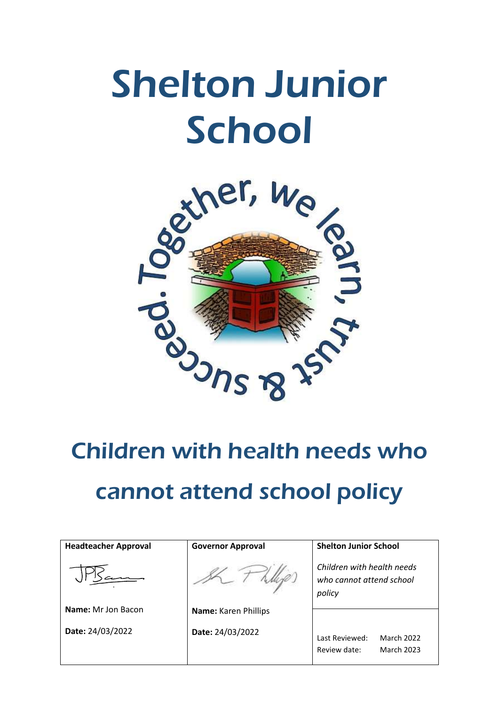# Shelton Junior **School**



# Children with health needs who cannot attend school policy

| <b>Headteacher Approval</b> | <b>Governor Approval</b> | <b>Shelton Junior School</b>                                             |
|-----------------------------|--------------------------|--------------------------------------------------------------------------|
|                             |                          | Children with health needs<br>who cannot attend school<br>policy         |
| <b>Name:</b> Mr Jon Bacon   | Name: Karen Phillips     |                                                                          |
| Date: 24/03/2022            | Date: 24/03/2022         | <b>March 2022</b><br>Last Reviewed:<br><b>March 2023</b><br>Review date: |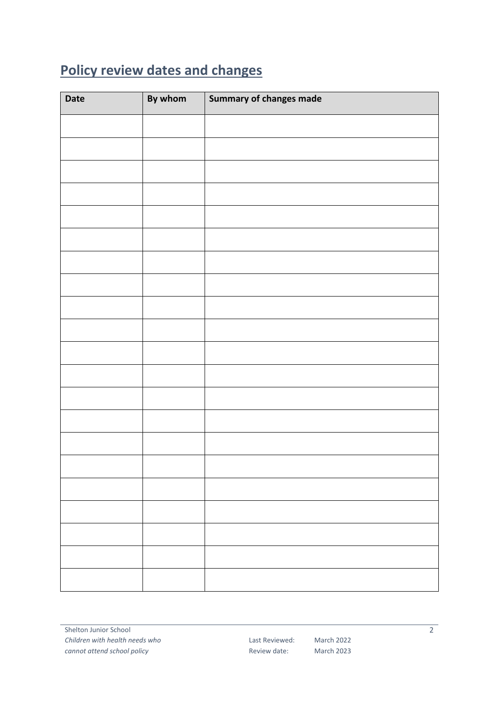### <span id="page-1-0"></span>**Policy review dates and changes**

| <b>Date</b> | By whom | Summary of changes made |
|-------------|---------|-------------------------|
|             |         |                         |
|             |         |                         |
|             |         |                         |
|             |         |                         |
|             |         |                         |
|             |         |                         |
|             |         |                         |
|             |         |                         |
|             |         |                         |
|             |         |                         |
|             |         |                         |
|             |         |                         |
|             |         |                         |
|             |         |                         |
|             |         |                         |
|             |         |                         |
|             |         |                         |
|             |         |                         |
|             |         |                         |
|             |         |                         |
|             |         |                         |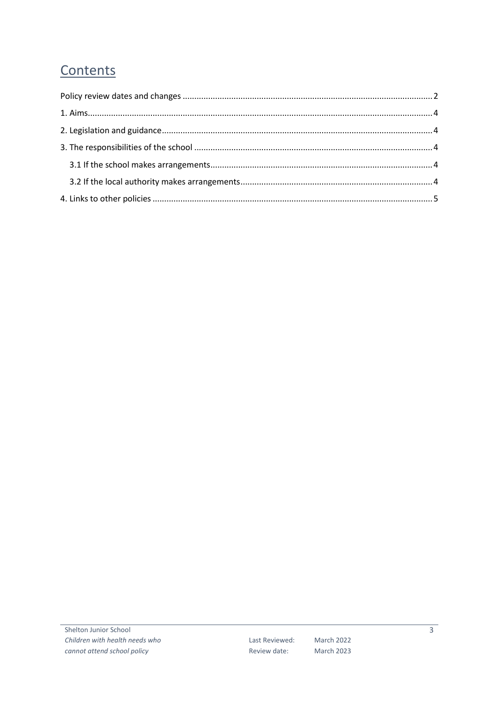## Contents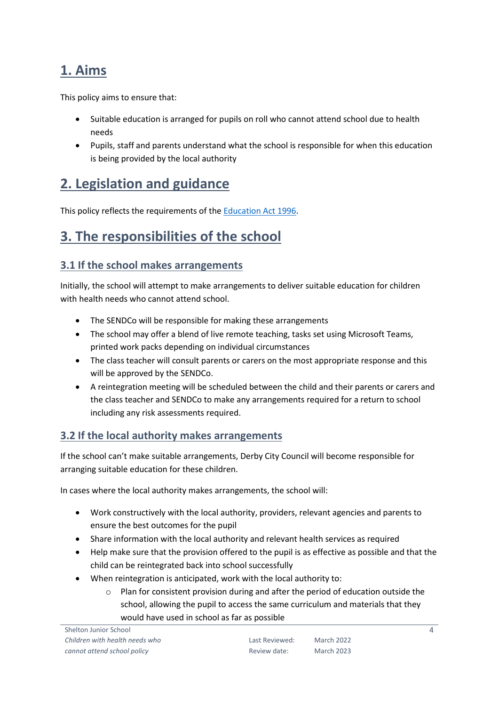#### <span id="page-3-0"></span>**1. Aims**

This policy aims to ensure that:

- Suitable education is arranged for pupils on roll who cannot attend school due to health needs
- Pupils, staff and parents understand what the school is responsible for when this education is being provided by the local authority

#### <span id="page-3-1"></span>**2. Legislation and guidance**

This policy reflects the requirements of th[e Education Act 1996.](http://www.legislation.gov.uk/ukpga/1996/56/section/19)

#### <span id="page-3-2"></span>**3. The responsibilities of the school**

#### <span id="page-3-3"></span>**3.1 If the school makes arrangements**

Initially, the school will attempt to make arrangements to deliver suitable education for children with health needs who cannot attend school.

- The SENDCo will be responsible for making these arrangements
- The school may offer a blend of live remote teaching, tasks set using Microsoft Teams, printed work packs depending on individual circumstances
- The class teacher will consult parents or carers on the most appropriate response and this will be approved by the SENDCo.
- A reintegration meeting will be scheduled between the child and their parents or carers and the class teacher and SENDCo to make any arrangements required for a return to school including any risk assessments required.

#### <span id="page-3-4"></span>**3.2 If the local authority makes arrangements**

If the school can't make suitable arrangements, Derby City Council will become responsible for arranging suitable education for these children.

In cases where the local authority makes arrangements, the school will:

- Work constructively with the local authority, providers, relevant agencies and parents to ensure the best outcomes for the pupil
- Share information with the local authority and relevant health services as required
- Help make sure that the provision offered to the pupil is as effective as possible and that the child can be reintegrated back into school successfully
- When reintegration is anticipated, work with the local authority to:
	- $\circ$  Plan for consistent provision during and after the period of education outside the school, allowing the pupil to access the same curriculum and materials that they would have used in school as far as possible

4